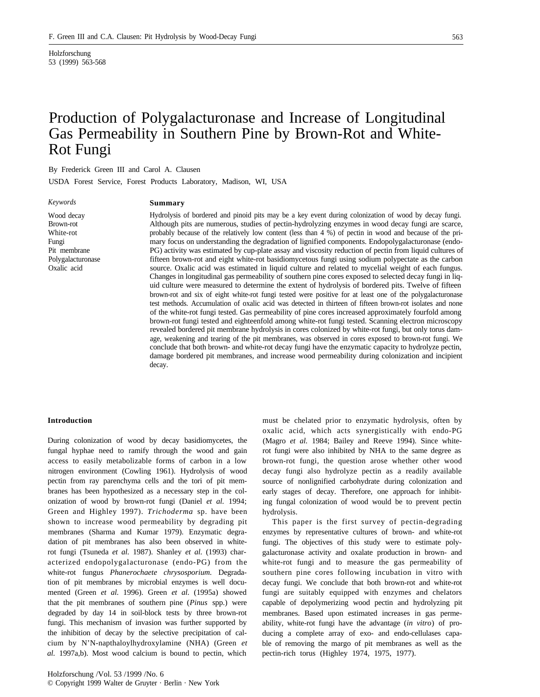Holzforschung 53 (1999) 563-568

# Production of Polygalacturonase and Increase of Longitudinal Gas Permeability in Southern Pine by Brown-Rot and White-Rot Fungi

By Frederick Green III and Carol A. Clausen

USDA Forest Service, Forest Products Laboratory, Madison, WI, USA

*Keywords*

## **Summary**

Wood decay Brown-rot White-rot Fungi Pit membrane Polygalacturonase Oxalic acid

Hydrolysis of bordered and pinoid pits may be a key event during colonization of wood by decay fungi. Although pits are numerous, studies of pectin-hydrolyzing enzymes in wood decay fungi are scarce, probably because of the relatively low content (less than 4 %) of pectin in wood and because of the primary focus on understanding the degradation of lignified components. Endopolygalacturonase (endo-PG) activity was estimated by cup-plate assay and viscosity reduction of pectin from liquid cultures of fifteen brown-rot and eight white-rot basidiomycetous fungi using sodium polypectate as the carbon source. Oxalic acid was estimated in liquid culture and related to mycelial weight of each fungus. Changes in longitudinal gas permeability of southern pine cores exposed to selected decay fungi in liquid culture were measured to determine the extent of hydrolysis of bordered pits. Twelve of fifteen brown-rot and six of eight white-rot fungi tested were positive for at least one of the polygalacturonase test methods. Accumulation of oxalic acid was detected in thirteen of fifteen brown-rot isolates and none of the white-rot fungi tested. Gas permeability of pine cores increased approximately fourfold among brown-rot fungi tested and eighteenfold among white-rot fungi tested. Scanning electron microscopy revealed bordered pit membrane hydrolysis in cores colonized by white-rot fungi, but only torus damage, weakening and tearing of the pit membranes, was observed in cores exposed to brown-rot fungi. We conclude that both brown- and white-rot decay fungi have the enzymatic capacity to hydrolyze pectin, damage bordered pit membranes, and increase wood permeability during colonization and incipient decay.

## **Introduction**

During colonization of wood by decay basidiomycetes, the fungal hyphae need to ramify through the wood and gain access to easily metabolizable forms of carbon in a low nitrogen environment (Cowling 1961). Hydrolysis of wood pectin from ray parenchyma cells and the tori of pit membranes has been hypothesized as a necessary step in the colonization of wood by brown-rot fungi (Daniel *et al.* 1994; Green and Highley 1997). *Trichoderma* sp. have been shown to increase wood permeability by degrading pit membranes (Sharma and Kumar 1979). Enzymatic degradation of pit membranes has also been observed in whiterot fungi (Tsuneda *et al.* 1987). Shanley *et al.* (1993) characterized endopolygalacturonase (endo-PG) from the white-rot fungus *Phanerochaete chrysosporium.* Degradation of pit membranes by microbial enzymes is well documented (Green *et al.* 1996). Green *et al.* (1995a) showed that the pit membranes of southern pine (*Pinus* spp.) were degraded by day 14 in soil-block tests by three brown-rot fungi. This mechanism of invasion was further supported by the inhibition of decay by the selective precipitation of calcium by N'N-napthaloylhydroxylamine (NHA) (Green *et al.* 1997a,b). Most wood calcium is bound to pectin, which

must be chelated prior to enzymatic hydrolysis, often by oxalic acid, which acts synergistically with endo-PG (Magro et al. 1984; Bailey and Reeve 1994). Since whiterot fungi were also inhibited by NHA to the same degree as brown-rot fungi, the question arose whether other wood decay fungi also hydrolyze pectin as a readily available source of nonlignified carbohydrate during colonization and early stages of decay. Therefore, one approach for inhibiting fungal colonization of wood would be to prevent pectin hydrolysis.

This paper is the first survey of pectin-degrading enzymes by representative cultures of brown- and white-rot fungi. The objectives of this study were to estimate polygalacturonase activity and oxalate production in brown- and white-rot fungi and to measure the gas permeability of southern pine cores following incubation in vitro with decay fungi. We conclude that both brown-rot and white-rot fungi are suitably equipped with enzymes and chelators capable of depolymerizing wood pectin and hydrolyzing pit membranes. Based upon estimated increases in gas permeability, white-rot fungi have the advantage (*in vitro*) of producing a complete array of exo- and endo-cellulases capable of removing the margo of pit membranes as well as the pectin-rich torus (Highley 1974, 1975, 1977).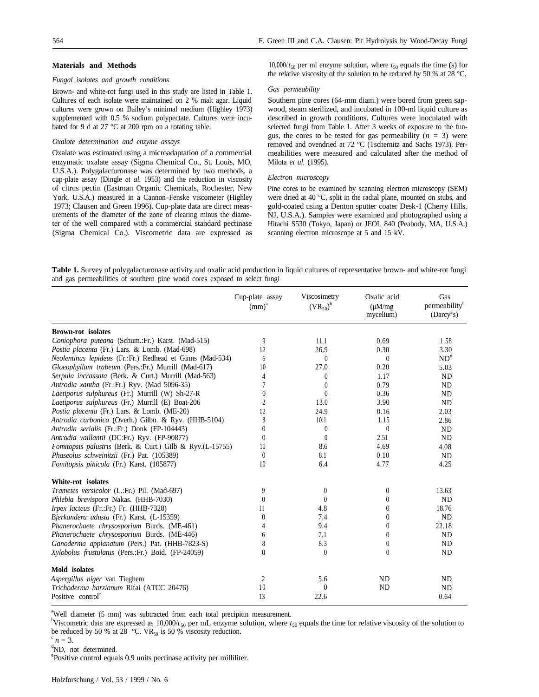## **Materials and Methods**

## *Fungal isolates and growth conditions*

Brown- and white-rot fungi used in this study are listed in Table 1. Cultures of each isolate were maintained on 2 % malt agar. Liquid cultures were grown on Bailey's minimal medium (Highley 1973) supplemented with 0.5 % sodium polypectate. Cultures were incubated for 9 d at 27 °C at 200 rpm on a rotating table.

#### *Oxalote determination and enzyme assays*

Oxalate was estimated using a microadaptation of a commercial enzymatic oxalate assay (Sigma Chemical Co., St. Louis, MO, U.S.A.). Polygalacturonase was determined by two methods, a cup-plate assay (Dingle *et al.* 1953) and the reduction in viscosity of citrus pectin (Eastman Organic Chemicals, Rochester, New York, U.S.A.) measured in a Cannon–Fenske viscometer (Highley 1973; Clausen and Green 1996). Cup-plate data are direct measurements of the diameter of the zone of clearing minus the diameter of the well compared with a commercial standard pectinase (Sigma Chemical Co.). Viscometric data are expressed as

10,000/ $t_{50}$  per ml enzyme solution, where  $t_{50}$  equals the time (s) for the relative viscosity of the solution to be reduced by 50 % at 28 °C.

## *Gas permeability*

Southern pine cores (64-mm diam.) were bored from green sapwood, steam sterilized, and incubated in 100-ml liquid culture as described in growth conditions. Cultures were inoculated with selected fungi from Table 1. After 3 weeks of exposure to the fungus, the cores to be tested for gas permeability  $(n = 3)$  were removed and ovendried at 72 °C (Tschernitz and Sachs 1973). Permeabilities were measured and calculated after the method of Milota *et al.* (1995).

## *Electron microscopy*

Pine cores to be examined by scanning electron microscopy (SEM) were dried at 40 °C, split in the radial plane, mounted on stubs, and gold-coated using a Denton sputter coater Desk-1 (Cherry Hills, NJ, U.S.A.). Samples were examined and photographed using a Hitachi S530 (Tokyo, Japan) or JEOL 840 (Peabody, MA, U.S.A.) scanning electron microscope at 5 and 15 kV.

**Table 1.** Survey of polygalacturonase activity and oxalic acid production in liquid cultures of representative brown- and white-rot fungi and gas permeabilities of southern pine wood cores exposed to select fungi

|                                                           | Cup-plate assay<br>(mm) <sup>a</sup> | Viscosimetry<br>$(VR_{50})^b$ | Oxalic acid<br>$(\mu M/mg)$<br>mycelium) | Gas<br>permeability <sup>c</sup><br>(Darcy's) |
|-----------------------------------------------------------|--------------------------------------|-------------------------------|------------------------------------------|-----------------------------------------------|
| <b>Brown-rot</b> isolates                                 |                                      |                               |                                          |                                               |
| Coniophora puteana (Schum.:Fr.) Karst. (Mad-515)          | 9                                    | 11.1                          | 0.69                                     | 1.58                                          |
| Postia placenta (Fr.) Lars. & Lomb. (Mad-698)             | 12                                   | 26.9                          | 0.30                                     | 3.30                                          |
| Neolentinus lepideus (Fr.:Fr.) Redhead et Ginns (Mad-534) | 6                                    | $\theta$                      | $\theta$                                 | ND <sup>d</sup>                               |
| Gloeophyllum trabeum (Pers.:Fr.) Murrill (Mad-617)        | 10                                   | 27.0                          | 0.20                                     | 5.03                                          |
| Serpula incrassata (Berk. & Curt.) Murrill (Mad-563)      | 4                                    | 0                             | 1.17                                     | <b>ND</b>                                     |
| Antrodia xantha (Fr.:Fr.) Ryv. (Mad 5096-35)              | 7                                    | $\theta$                      | 0.79                                     | <b>ND</b>                                     |
| <i>Laetiporus sulphureus</i> (Fr.) Murrill (W) Sh-27-R    | $\theta$                             | $\theta$                      | 0.36                                     | ND.                                           |
| Laetiporus sulphureus (Fr.) Murrill (E) Boat-206          | $\overline{\mathfrak{C}}$            | 13.0                          | 3.90                                     | <b>ND</b>                                     |
| Postia placenta (Fr.) Lars. & Lomb. (ME-20)               | 12                                   | 24.9                          | 0.16                                     | 2.03                                          |
| Antrodia carbonica (Overh.) Gilbn. & Ryv. (HHB-5104)      | 8                                    | 10.1                          | 1.15                                     | 2.86                                          |
| Antrodia serialis (Fr.:Fr.) Donk (FP-104443)              | $\theta$                             | $\theta$                      | $\theta$                                 | ND.                                           |
| Antrodia vaillantii (DC:Fr.) Ryv. (FP-90877)              | $\theta$                             | $\mathbf{0}$                  | 2.51                                     | <b>ND</b>                                     |
| Fomitopsis palustris (Berk. & Curt.) Gilb & Ryv.(L-15755) | 10                                   | 8.6                           | 4.69                                     | 4.08                                          |
| Phaseolus schweinitzii (Fr.) Pat. (105389)                | $\theta$                             | 8.1                           | 0.10                                     | <b>ND</b>                                     |
| Fomitopsis pinicola (Fr.) Karst. (105877)                 | 10                                   | 6.4                           | 4.77                                     | 4.25                                          |
| White-rot isolates                                        |                                      |                               |                                          |                                               |
| Trametes versicolor (L.:Fr.) Pil. (Mad-697)               | 9                                    | $\theta$                      | $\theta$                                 | 13.63                                         |
| Phlebia brevispora Nakas. (HHB-7030)                      | $\theta$                             | $\left( \right)$              | 0                                        | <b>ND</b>                                     |
| Irpex lacteus (Fr.:Fr.) Fr. (HHB-7328)                    | 11                                   | 4.8                           | $\theta$                                 | 18.76                                         |
| Bjerkandera adusta (Fr.) Karst. (L-15359)                 | $\mathbf{0}$                         | 7.4                           | 0                                        | N <sub>D</sub>                                |
| Phanerochaete chrysosporium Burds. (ME-461)               | 4                                    | 9.4                           | $\theta$                                 | 22.18                                         |
| Phanerochaete chrysosporium Burds. (ME-446)               | 6                                    | 7.1                           | $\mathbf{0}$                             | N <sub>D</sub>                                |
| Ganoderma applanatum (Pers.) Pat. (HHB-7823-S)            | 8                                    | 8.3                           | $\mathbf{0}$                             | <b>ND</b>                                     |
| Xylobolus frustulatus (Pers.:Fr.) Boid. (FP-24059)        | $\mathbf{0}$                         | $\theta$                      | $\theta$                                 | <b>ND</b>                                     |
| Mold isolates                                             |                                      |                               |                                          |                                               |
| Aspergillus niger van Tieghem                             | 2                                    | 5.6                           | <b>ND</b>                                | ND.                                           |
| Trichoderma harzianum Rifai (ATCC 20476)                  | 10                                   | $\theta$                      | <b>ND</b>                                | N <sub>D</sub>                                |
| Positive control <sup>e</sup>                             | 13                                   | 22.6                          |                                          | 0.64                                          |

<sup>a</sup>Well diameter (5 mm) was subtracted from each total precipitin measurement.

<sup>b</sup>Viscometric data are expressed as 10,000/ $t_{50}$  per mL enzyme solution, where  $t_{50}$  equals the time for relative viscosity of the solution to be reduced by 50 % at 28 °C. VR<sub>50</sub> is 50 % viscosity reduction.

 $^{c} n = 3.$ 

<sup>d</sup>ND, not determined.

e Positive control equals 0.9 units pectinase activity per milliliter.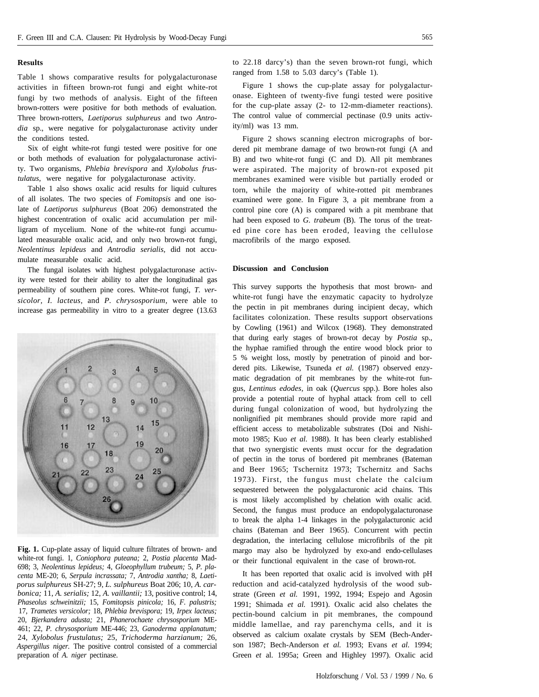## **Results**

Table 1 shows comparative results for polygalacturonase activities in fifteen brown-rot fungi and eight white-rot fungi by two methods of analysis. Eight of the fifteen brown-rotters were positive for both methods of evaluation. Three brown-rotters, *Laetiporus sulphureus* and two *Antrodia* sp., were negative for polygalacturonase activity under the conditions tested.

Six of eight white-rot fungi tested were positive for one or both methods of evaluation for polygalacturonase activity. Two organisms, *Phlebia brevispora* and *Xylobolus frustulatus,* were negative for polygalacturonase activity.

Table 1 also shows oxalic acid results for liquid cultures of all isolates. The two species of *Fomitopsis* and one isolate of *Laetiporus sulphureus* (Boat 206) demonstrated the highest concentration of oxalic acid accumulation per milligram of mycelium. None of the white-rot fungi accumulated measurable oxalic acid, and only two brown-rot fungi, *Neolentinus lepideus* and *Antrodia serialis,* did not accumulate measurable oxalic acid.

The fungal isolates with highest polygalacturonase activity were tested for their ability to alter the longitudinal gas permeability of southern pine cores. White-rot fungi, *T. versicolor, I. lacteus,* and *P. chrysosporium,* were able to increase gas permeability in vitro to a greater degree (13.63



**Fig. 1.** Cup-plate assay of liquid culture filtrates of brown- and white-rot fungi. 1, *Coniophora puteana;* 2, *Postia placenta* Mad-698; 3, *Neolentinus lepideus;* 4, *Gloeophyllum trubeum;* 5, *P. placenta* ME-20; 6, *Serpula incrassata;* 7, *Antrodia xantha;* 8, *Laetiporus sulphureus* SH-27; 9, *L. sulphureus* Boat 206; 10, *A. carbonica;* 11, *A. serialis;* 12, *A. vaillantii;* 13, positive control; 14, *Phaseolus schweinitzii;* 15, *Fomitopsis pinicola;* 16, *F. palustris;* 17, *Trametes versicolor;* 18, *Phlebia brevispora;* 19, *Irpex lacteus;* 20, *Bjerkandera adusta;* 21, *Phanerochaete chrysosporium* ME-461; 22, *P. chrysosporium* ME-446; 23, *Ganoderma applanatum;* 24, *Xylobolus frustulatus;* 25, *Trichoderma harzianum;* 26, *Aspergillus niger.* The positive control consisted of a commercial preparation of *A. niger* pectinase.

to 22.18 darcy's) than the seven brown-rot fungi, which ranged from 1.58 to 5.03 darcy's (Table 1).

Figure 1 shows the cup-plate assay for polygalacturonase. Eighteen of twenty-five fungi tested were positive for the cup-plate assay (2- to 12-mm-diameter reactions). The control value of commercial pectinase (0.9 units activity/ml) was 13 mm.

Figure 2 shows scanning electron micrographs of bordered pit membrane damage of two brown-rot fungi (A and B) and two white-rot fungi (C and D). All pit membranes were aspirated. The majority of brown-rot exposed pit membranes examined were visible but partially eroded or torn, while the majority of white-rotted pit membranes examined were gone. In Figure 3, a pit membrane from a control pine core (A) is compared with a pit membrane that had been exposed to *G. trabeum* (B). The torus of the treated pine core has been eroded, leaving the cellulose macrofibrils of the margo exposed.

## **Discussion and Conclusion**

This survey supports the hypothesis that most brown- and white-rot fungi have the enzymatic capacity to hydrolyze the pectin in pit membranes during incipient decay, which facilitates colonization. These results support observations by Cowling (1961) and Wilcox (1968). They demonstrated that during early stages of brown-rot decay by *Postia* sp., the hyphae ramified through the entire wood block prior to 5 % weight loss, mostly by penetration of pinoid and bordered pits. Likewise, Tsuneda *et al.* (1987) observed enzymatic degradation of pit membranes by the white-rot fungus, *Lentinus edodes,* in oak (*Quercus* spp.). Bore holes also provide a potential route of hyphal attack from cell to cell during fungal colonization of wood, but hydrolyzing the nonlignified pit membranes should provide more rapid and efficient access to metabolizable substrates (Doi and Nishimoto 1985; Kuo *et al.* 1988). It has been clearly established that two synergistic events must occur for the degradation of pectin in the torus of bordered pit membranes (Bateman and Beer 1965; Tschernitz 1973; Tschernitz and Sachs 1973). First, the fungus must chelate the calcium sequestered between the polygalacturonic acid chains. This is most likely accomplished by chelation with oxalic acid. Second, the fungus must produce an endopolygalacturonase to break the alpha 1-4 linkages in the polygalacturonic acid chains (Bateman and Beer 1965). Concurrent with pectin degradation, the interlacing cellulose microfibrils of the pit margo may also be hydrolyzed by exo-and endo-cellulases or their functional equivalent in the case of brown-rot.

It has been reported that oxalic acid is involved with pH reduction and acid-catalyzed hydrolysis of the wood substrate (Green *et al.* 1991, 1992, 1994; Espejo and Agosin 1991; Shimada *et al.* 1991). Oxalic acid also chelates the pectin-bound calcium in pit membranes, the compound middle lamellae, and ray parenchyma cells, and it is observed as calcium oxalate crystals by SEM (Bech-Anderson 1987; Bech-Anderson *et al.* 1993; Evans *et al.* 1994; Green *et* al. 1995a; Green and Highley 1997). Oxalic acid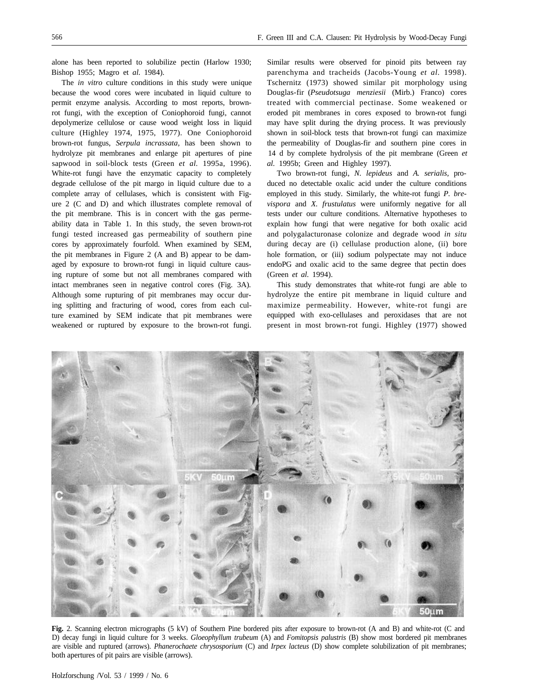alone has been reported to solubilize pectin (Harlow 1930; Bishop 1955; Magro et *al.* 1984).

The *in vitro* culture conditions in this study were unique because the wood cores were incubated in liquid culture to permit enzyme analysis. According to most reports, brownrot fungi, with the exception of Coniophoroid fungi, cannot depolymerize cellulose or cause wood weight loss in liquid culture (Highley 1974, 1975, 1977). One Coniophoroid brown-rot fungus, *Serpula incrassata,* has been shown to hydrolyze pit membranes and enlarge pit apertures of pine sapwood in soil-block tests (Green *et al.* 1995a, 1996). White-rot fungi have the enzymatic capacity to completely degrade cellulose of the pit margo in liquid culture due to a complete array of cellulases, which is consistent with Figure 2 (C and D) and which illustrates complete removal of the pit membrane. This is in concert with the gas permeability data in Table 1. In this study, the seven brown-rot fungi tested increased gas permeability of southern pine cores by approximately fourfold. When examined by SEM, the pit membranes in Figure 2 (A and B) appear to be damaged by exposure to brown-rot fungi in liquid culture causing rupture of some but not all membranes compared with intact membranes seen in negative control cores (Fig. 3A). Although some rupturing of pit membranes may occur during splitting and fracturing of wood, cores from each culture examined by SEM indicate that pit membranes were weakened or ruptured by exposure to the brown-rot fungi.

Similar results were observed for pinoid pits between ray parenchyma and tracheids (Jacobs-Young *et al.* 1998). Tschernitz (1973) showed similar pit morphology using Douglas-fir (*Pseudotsuga menziesii* (Mirb.) Franco) cores treated with commercial pectinase. Some weakened or eroded pit membranes in cores exposed to brown-rot fungi may have split during the drying process. It was previously shown in soil-block tests that brown-rot fungi can maximize the permeability of Douglas-fir and southern pine cores in 14 d by complete hydrolysis of the pit membrane (Green *et al.* 1995b; Green and Highley 1997).

Two brown-rot fungi, *N. lepideus* and *A. serialis,* produced no detectable oxalic acid under the culture conditions employed in this study. Similarly, the white-rot fungi *P. brevispora* and *X. frustulatus* were uniformly negative for all tests under our culture conditions. Alternative hypotheses to explain how fungi that were negative for both oxalic acid and polygalacturonase colonize and degrade wood *in situ* during decay are (i) cellulase production alone, (ii) bore hole formation, or (iii) sodium polypectate may not induce endoPG and oxalic acid to the same degree that pectin does (Green *et al.* 1994).

This study demonstrates that white-rot fungi are able to hydrolyze the entire pit membrane in liquid culture and maximize permeability. However, white-rot fungi are equipped with exo-cellulases and peroxidases that are not present in most brown-rot fungi. Highley (1977) showed



**Fig.** 2. Scanning electron micrographs (5 kV) of Southern Pine bordered pits after exposure to brown-rot (A and B) and white-rot (C and D) decay fungi in liquid culture for 3 weeks. *Gloeophyllum trubeum* (A) and *Fomitopsis palustris* (B) show most bordered pit membranes are visible and ruptured (arrows). *Phanerochaete chrysosporium* (C) and *Irpex lacteus* (D) show complete solubilization of pit membranes; both apertures of pit pairs are visible (arrows).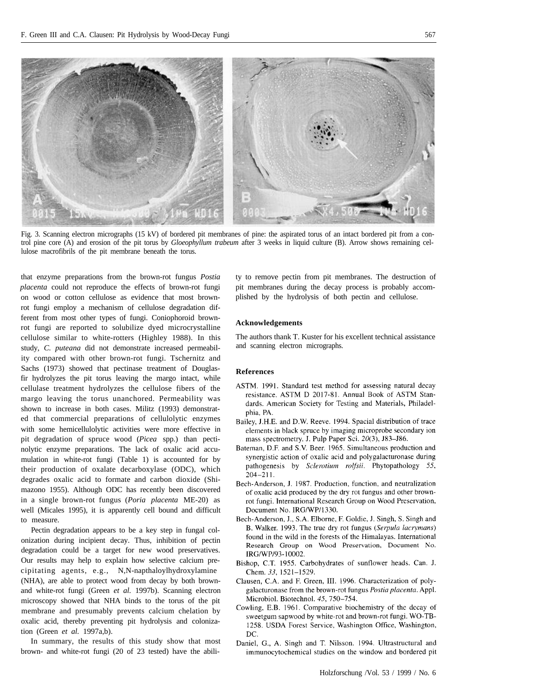

Fig. 3. Scanning electron micrographs (15 kV) of bordered pit membranes of pine: the aspirated torus of an intact bordered pit from a control pine core (A) and erosion of the pit torus by *Gloeophyllum trabeum* after 3 weeks in liquid culture (B). Arrow shows remaining cellulose macrofibrils of the pit membrane beneath the torus.

that enzyme preparations from the brown-rot fungus *Postia placenta* could not reproduce the effects of brown-rot fungi on wood or cotton cellulose as evidence that most brownrot fungi employ a mechanism of cellulose degradation different from most other types of fungi. Coniophoroid brownrot fungi are reported to solubilize dyed microcrystalline cellulose similar to white-rotters (Highley 1988). In this study, *C. puteana* did not demonstrate increased permeability compared with other brown-rot fungi. Tschernitz and Sachs (1973) showed that pectinase treatment of Douglasfir hydrolyzes the pit torus leaving the margo intact, while cellulase treatment hydrolyzes the cellulose fibers of the margo leaving the torus unanchored. Permeability was shown to increase in both cases. Militz (1993) demonstrated that commercial preparations of cellulolytic enzymes with some hemicellulolytic activities were more effective in pit degradation of spruce wood (*Picea* spp.) than pectinolytic enzyme preparations. The lack of oxalic acid accumulation in white-rot fungi (Table 1) is accounted for by their production of oxalate decarboxylase (ODC), which degrades oxalic acid to formate and carbon dioxide (Shimazono 1955). Although ODC has recently been discovered in a single brown-rot fungus (*Poria placenta* ME-20) as well (Micales 1995), it is apparently cell bound and difficult to measure.

Pectin degradation appears to be a key step in fungal colonization during incipient decay. Thus, inhibition of pectin degradation could be a target for new wood preservatives. Our results may help to explain how selective calcium precipitating agents, e.g., N,N-napthaloylhydroxylamine (NHA), are able to protect wood from decay by both brownand white-rot fungi (Green *et al.* 1997b). Scanning electron microscopy showed that NHA binds to the torus of the pit membrane and presumably prevents calcium chelation by oxalic acid, thereby preventing pit hydrolysis and colonization (Green *et al.* 1997a,b).

In summary, the results of this study show that most brown- and white-rot fungi (20 of 23 tested) have the ability to remove pectin from pit membranes. The destruction of pit membranes during the decay process is probably accomplished by the hydrolysis of both pectin and cellulose.

# **Acknowledgements**

The authors thank T. Kuster for his excellent technical assistance and scanning electron micrographs.

## **References**

- ASTM. 1991. Standard test method for assessing natural decay resistance. ASTM D 2017-81. Annual Book of ASTM Standards. American Society for Testing and Materials, Philadelphia, PA.
- Bailey, J.H.E. and D.W. Reeve. 1994. Spacial distribution of trace elements in black spruce by imaging microprobe secondary ion mass spectrometry. J. Pulp Paper Sci. 20(3), J83-J86.
- Bateman, D.F. and S.V. Beer. 1965. Simultaneous production and synergistic action of oxalic acid and polygalacturonase during pathogenesis by Sclerotium rolfsii. Phytopathology 55,  $204 - 211$ .
- Bech-Anderson, J. 1987. Production, function, and neutralization of oxalic acid produced by the dry rot fungus and other brownrot fungi. International Research Group on Wood Preservation, Document No. IRG/WP/1330.
- Bech-Anderson, J., S.A. Elborne, F. Goldie, J. Singh, S. Singh and B. Walker. 1993. The true dry rot fungus (Serpula lacrymans) found in the wild in the forests of the Himalayas. International Research Group on Wood Preservation, Document No. IRG/WP/93-10002.
- Bishop, C.T. 1955. Carbohydrates of sunflower heads. Can. J. Chem. 33, 1521-1529.
- Clausen, C.A. and F. Green, III. 1996. Characterization of polygalacturonase from the brown-rot fungus Postia placenta. Appl. Microbiol. Biotechnol. 45, 750-754.
- Cowling, E.B. 1961. Comparative biochemistry of the decay of sweetgum sapwood by white-rot and brown-rot fungi. WO-TB-1258. USDA Forest Service, Washington Office, Washington, DC.
- Daniel, G., A. Singh and T. Nilsson. 1994. Ultrastructural and immunocytochemical studies on the window and bordered pit